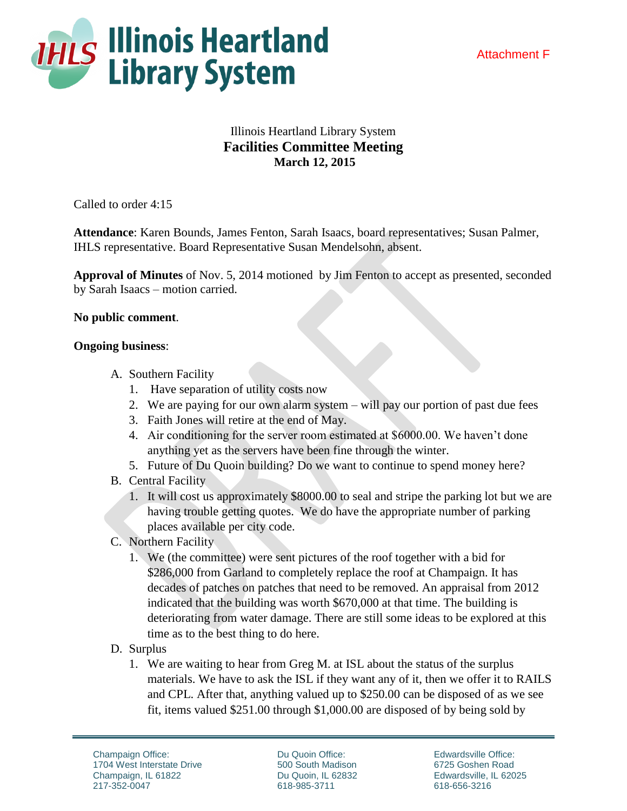



## Illinois Heartland Library System **Facilities Committee Meeting March 12, 2015**

Called to order 4:15

**Attendance**: Karen Bounds, James Fenton, Sarah Isaacs, board representatives; Susan Palmer, IHLS representative. Board Representative Susan Mendelsohn, absent.

**Approval of Minutes** of Nov. 5, 2014 motioned by Jim Fenton to accept as presented, seconded by Sarah Isaacs – motion carried.

## **No public comment**.

## **Ongoing business**:

- A. Southern Facility
	- 1. Have separation of utility costs now
	- 2. We are paying for our own alarm system will pay our portion of past due fees
	- 3. Faith Jones will retire at the end of May.
	- 4. Air conditioning for the server room estimated at \$6000.00. We haven't done anything yet as the servers have been fine through the winter.
	- 5. Future of Du Quoin building? Do we want to continue to spend money here?
- B. Central Facility
	- 1. It will cost us approximately \$8000.00 to seal and stripe the parking lot but we are having trouble getting quotes. We do have the appropriate number of parking places available per city code.
- C. Northern Facility
	- 1. We (the committee) were sent pictures of the roof together with a bid for \$286,000 from Garland to completely replace the roof at Champaign. It has decades of patches on patches that need to be removed. An appraisal from 2012 indicated that the building was worth \$670,000 at that time. The building is deteriorating from water damage. There are still some ideas to be explored at this time as to the best thing to do here.
- D. Surplus
	- 1. We are waiting to hear from Greg M. at ISL about the status of the surplus materials. We have to ask the ISL if they want any of it, then we offer it to RAILS and CPL. After that, anything valued up to \$250.00 can be disposed of as we see fit, items valued \$251.00 through \$1,000.00 are disposed of by being sold by

Du Quoin Office: 500 South Madison Du Quoin, IL 62832 618-985-3711

Edwardsville Office: 6725 Goshen Road Edwardsville, IL 62025 618-656-3216